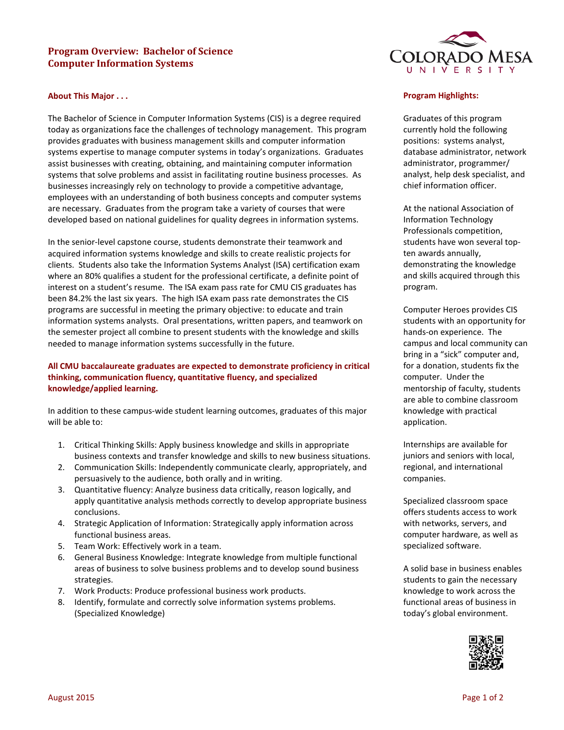# **Program Overview: Bachelor of Science Computer Information Systems**

### **About This Major . . .**

The Bachelor of Science in Computer Information Systems (CIS) is a degree required today as organizations face the challenges of technology management. This program provides graduates with business management skills and computer information systems expertise to manage computer systems in today's organizations. Graduates assist businesses with creating, obtaining, and maintaining computer information systems that solve problems and assist in facilitating routine business processes. As businesses increasingly rely on technology to provide a competitive advantage, employees with an understanding of both business concepts and computer systems are necessary. Graduates from the program take a variety of courses that were developed based on national guidelines for quality degrees in information systems.

In the senior-level capstone course, students demonstrate their teamwork and acquired information systems knowledge and skills to create realistic projects for clients. Students also take the Information Systems Analyst (ISA) certification exam where an 80% qualifies a student for the professional certificate, a definite point of interest on a student's resume. The ISA exam pass rate for CMU CIS graduates has been 84.2% the last six years. The high ISA exam pass rate demonstrates the CIS programs are successful in meeting the primary objective: to educate and train information systems analysts. Oral presentations, written papers, and teamwork on the semester project all combine to present students with the knowledge and skills needed to manage information systems successfully in the future.

## **All CMU baccalaureate graduates are expected to demonstrate proficiency in critical thinking, communication fluency, quantitative fluency, and specialized knowledge/applied learning.**

In addition to these campus-wide student learning outcomes, graduates of this major will be able to:

- 1. Critical Thinking Skills: Apply business knowledge and skills in appropriate business contexts and transfer knowledge and skills to new business situations.
- 2. Communication Skills: Independently communicate clearly, appropriately, and persuasively to the audience, both orally and in writing.
- 3. Quantitative fluency: Analyze business data critically, reason logically, and apply quantitative analysis methods correctly to develop appropriate business conclusions.
- 4. Strategic Application of Information: Strategically apply information across functional business areas.
- 5. Team Work: Effectively work in a team.
- 6. General Business Knowledge: Integrate knowledge from multiple functional areas of business to solve business problems and to develop sound business strategies.
- 7. Work Products: Produce professional business work products.
- 8. Identify, formulate and correctly solve information systems problems. (Specialized Knowledge)



#### **Program Highlights:**

Graduates of this program currently hold the following positions: systems analyst, database administrator, network administrator, programmer/ analyst, help desk specialist, and chief information officer.

At the national Association of Information Technology Professionals competition, students have won several topten awards annually, demonstrating the knowledge and skills acquired through this program.

Computer Heroes provides CIS students with an opportunity for hands-on experience. The campus and local community can bring in a "sick" computer and, for a donation, students fix the computer. Under the mentorship of faculty, students are able to combine classroom knowledge with practical application.

Internships are available for juniors and seniors with local, regional, and international companies.

Specialized classroom space offers students access to work with networks, servers, and computer hardware, as well as specialized software.

A solid base in business enables students to gain the necessary knowledge to work across the functional areas of business in today's global environment.